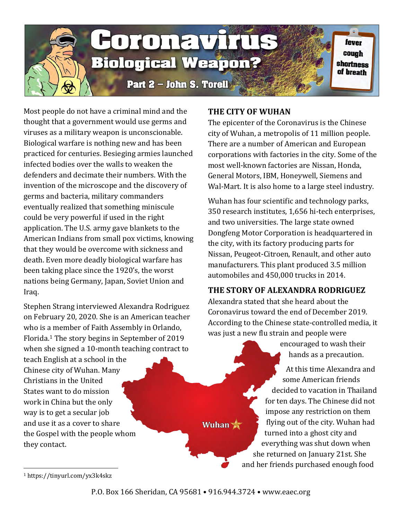

Most people do not have a criminal mind and the thought that a government would use germs and viruses as a military weapon is unconscionable. Biological warfare is nothing new and has been practiced for centuries. Besieging armies launched infected bodies over the walls to weaken the defenders and decimate their numbers. With the invention of the microscope and the discovery of germs and bacteria, military commanders eventually realized that something miniscule could be very powerful if used in the right application. The U.S. army gave blankets to the American Indians from small pox victims, knowing that they would be overcome with sickness and death. Even more deadly biological warfare has been taking place since the 1920's, the worst nations being Germany, Japan, Soviet Union and Iraq.

Stephen Strang interviewed Alexandra Rodriguez on February 20, 2020. She is an American teacher who is a member of Faith Assembly in Orlando, Florida.[1](#page-0-0) The story begins in September of 2019 when she signed a 10-month teaching contract to

teach English at a school in the Chinese city of Wuhan. Many Christians in the United States want to do mission work in China but the only way is to get a secular job and use it as a cover to share the Gospel with the people whom they contact.

# **THE CITY OF WUHAN**

The epicenter of the Coronavirus is the Chinese city of Wuhan, a metropolis of 11 million people. There are a number of American and European corporations with factories in the city. Some of the most well-known factories are Nissan, Honda, General Motors, IBM, Honeywell, Siemens and Wal-Mart. It is also home to a large steel industry.

Wuhan has four scientific and technology parks, 350 research institutes, 1,656 hi-tech enterprises, and two universities. The large state owned Dongfeng Motor Corporation is headquartered in the city, with its factory producing parts for Nissan, Peugeot-Citroen, Renault, and other auto manufacturers. This plant produced 3.5 million automobiles and 450,000 trucks in 2014.

## **THE STORY OF ALEXANDRA RODRIGUEZ**

Alexandra stated that she heard about the Coronavirus toward the end of December 2019. According to the Chinese state-controlled media, it was just a new flu strain and people were

> encouraged to wash their hands as a precaution.

At this time Alexandra and some American friends decided to vacation in Thailand for ten days. The Chinese did not impose any restriction on them flying out of the city. Wuhan had turned into a ghost city and everything was shut down when she returned on January 21st. She and her friends purchased enough food

<span id="page-0-0"></span><sup>1</sup> https://tinyurl.com/yx3k4skz

Wuhan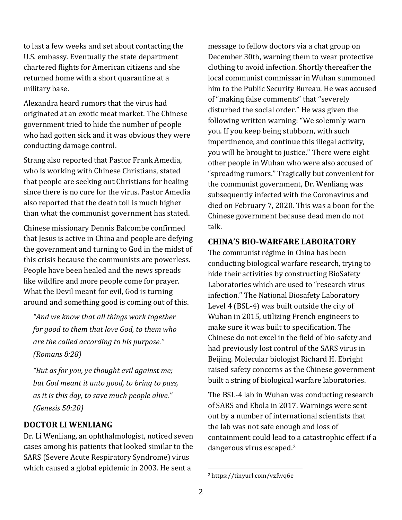to last a few weeks and set about contacting the U.S. embassy. Eventually the state department chartered flights for American citizens and she returned home with a short quarantine at a military base.

Alexandra heard rumors that the virus had originated at an exotic meat market. The Chinese government tried to hide the number of people who had gotten sick and it was obvious they were conducting damage control.

Strang also reported that Pastor Frank Amedia, who is working with Chinese Christians, stated that people are seeking out Christians for healing since there is no cure for the virus. Pastor Amedia also reported that the death toll is much higher than what the communist government has stated.

Chinese missionary Dennis Balcombe confirmed that Jesus is active in China and people are defying the government and turning to God in the midst of this crisis because the communists are powerless. People have been healed and the news spreads like wildfire and more people come for prayer. What the Devil meant for evil, God is turning around and something good is coming out of this.

*"And we know that all things work together for good to them that love God, to them who are the called according to his purpose." (Romans 8:28)*

*"But as for you, ye thought evil against me; but God meant it unto good, to bring to pass, as it is this day, to save much people alive." (Genesis 50:20)*

#### **DOCTOR LI WENLIANG**

<span id="page-1-0"></span>Dr. Li Wenliang, an ophthalmologist, noticed seven cases among his patients that looked similar to the SARS (Severe Acute Respiratory Syndrome) virus which caused a global epidemic in 2003. He sent a

message to fellow doctors via a chat group on December 30th, warning them to wear protective clothing to avoid infection. Shortly thereafter the local communist commissar in Wuhan summoned him to the Public Security Bureau. He was accused of "making false comments" that "severely disturbed the social order." He was given the following written warning: "We solemnly warn you. If you keep being stubborn, with such impertinence, and continue this illegal activity, you will be brought to justice." There were eight other people in Wuhan who were also accused of "spreading rumors." Tragically but convenient for the communist government, Dr. Wenliang was subsequently infected with the Coronavirus and died on February 7, 2020. This was a boon for the Chinese government because dead men do not talk.

#### **CHINA'S BIO-WARFARE LABORATORY**

The communist régime in China has been conducting biological warfare research, trying to hide their activities by constructing BioSafety Laboratories which are used to "research virus infection." The National Biosafety Laboratory Level 4 (BSL-4) was built outside the city of Wuhan in 2015, utilizing French engineers to make sure it was built to specification. The Chinese do not excel in the field of bio-safety and had previously lost control of the SARS virus in Beijing. Molecular biologist Richard H. Ebright raised safety concerns as the Chinese government built a string of biological warfare laboratories.

The BSL-4 lab in Wuhan was conducting research of SARS and Ebola in 2017. Warnings were sent out by a number of international scientists that the lab was not safe enough and loss of containment could lead to a catastrophic effect if a dangerous virus escaped.[2](#page-1-0)

<sup>2</sup> https://tinyurl.com/vzfwq6e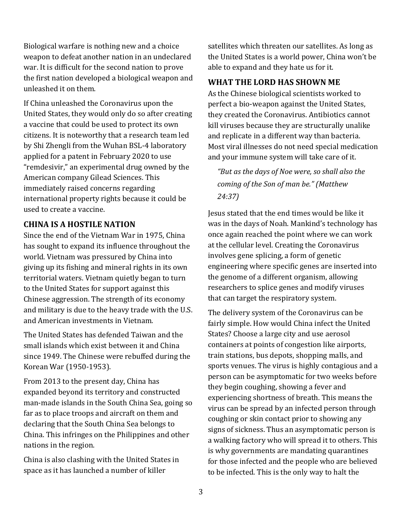Biological warfare is nothing new and a choice weapon to defeat another nation in an undeclared war. It is difficult for the second nation to prove the first nation developed a biological weapon and unleashed it on them.

If China unleashed the Coronavirus upon the United States, they would only do so after creating a vaccine that could be used to protect its own citizens. It is noteworthy that a research team led by Shi Zhengli from the Wuhan BSL-4 laboratory applied for a patent in February 2020 to use "remdesivir," an experimental drug owned by the American company Gilead Sciences. This immediately raised concerns regarding international property rights because it could be used to create a vaccine.

#### **CHINA IS A HOSTILE NATION**

Since the end of the Vietnam War in 1975, China has sought to expand its influence throughout the world. Vietnam was pressured by China into giving up its fishing and mineral rights in its own territorial waters. Vietnam quietly began to turn to the United States for support against this Chinese aggression. The strength of its economy and military is due to the heavy trade with the U.S. and American investments in Vietnam.

The United States has defended Taiwan and the small islands which exist between it and China since 1949. The Chinese were rebuffed during the Korean War (1950-1953).

From 2013 to the present day, China has expanded beyond its territory and constructed man-made islands in the South China Sea, going so far as to place troops and aircraft on them and declaring that the South China Sea belongs to China. This infringes on the Philippines and other nations in the region.

China is also clashing with the United States in space as it has launched a number of killer

satellites which threaten our satellites. As long as the United States is a world power, China won't be able to expand and they hate us for it.

# **WHAT THE LORD HAS SHOWN ME**

As the Chinese biological scientists worked to perfect a bio-weapon against the United States, they created the Coronavirus. Antibiotics cannot kill viruses because they are structurally unalike and replicate in a different way than bacteria. Most viral illnesses do not need special medication and your immune system will take care of it.

*"But as the days of Noe were, so shall also the coming of the Son of man be." (Matthew 24:37)*

Jesus stated that the end times would be like it was in the days of Noah. Mankind's technology has once again reached the point where we can work at the cellular level. Creating the Coronavirus involves gene splicing, a form of genetic engineering where specific genes are inserted into the genome of a different organism, allowing researchers to splice genes and modify viruses that can target the respiratory system.

The delivery system of the Coronavirus can be fairly simple. How would China infect the United States? Choose a large city and use aerosol containers at points of congestion like airports, train stations, bus depots, shopping malls, and sports venues. The virus is highly contagious and a person can be asymptomatic for two weeks before they begin coughing, showing a fever and experiencing shortness of breath. This means the virus can be spread by an infected person through coughing or skin contact prior to showing any signs of sickness. Thus an asymptomatic person is a walking factory who will spread it to others. This is why governments are mandating quarantines for those infected and the people who are believed to be infected. This is the only way to halt the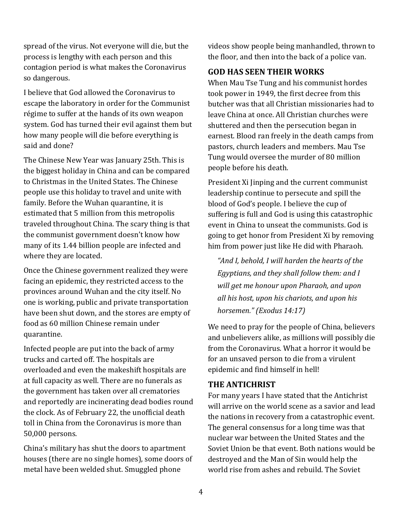spread of the virus. Not everyone will die, but the process is lengthy with each person and this contagion period is what makes the Coronavirus so dangerous.

I believe that God allowed the Coronavirus to escape the laboratory in order for the Communist régime to suffer at the hands of its own weapon system. God has turned their evil against them but how many people will die before everything is said and done?

The Chinese New Year was January 25th. This is the biggest holiday in China and can be compared to Christmas in the United States. The Chinese people use this holiday to travel and unite with family. Before the Wuhan quarantine, it is estimated that 5 million from this metropolis traveled throughout China. The scary thing is that the communist government doesn't know how many of its 1.44 billion people are infected and where they are located.

Once the Chinese government realized they were facing an epidemic, they restricted access to the provinces around Wuhan and the city itself. No one is working, public and private transportation have been shut down, and the stores are empty of food as 60 million Chinese remain under quarantine.

Infected people are put into the back of army trucks and carted off. The hospitals are overloaded and even the makeshift hospitals are at full capacity as well. There are no funerals as the government has taken over all crematories and reportedly are incinerating dead bodies round the clock. As of February 22, the unofficial death toll in China from the Coronavirus is more than 50,000 persons.

China's military has shut the doors to apartment houses (there are no single homes), some doors of metal have been welded shut. Smuggled phone

videos show people being manhandled, thrown to the floor, and then into the back of a police van.

# **GOD HAS SEEN THEIR WORKS**

When Mau Tse Tung and his communist hordes took power in 1949, the first decree from this butcher was that all Christian missionaries had to leave China at once. All Christian churches were shuttered and then the persecution began in earnest. Blood ran freely in the death camps from pastors, church leaders and members. Mau Tse Tung would oversee the murder of 80 million people before his death.

President Xi Jinping and the current communist leadership continue to persecute and spill the blood of God's people. I believe the cup of suffering is full and God is using this catastrophic event in China to unseat the communists. God is going to get honor from President Xi by removing him from power just like He did with Pharaoh.

*"And I, behold, I will harden the hearts of the Egyptians, and they shall follow them: and I will get me honour upon Pharaoh, and upon all his host, upon his chariots, and upon his horsemen." (Exodus 14:17)* 

We need to pray for the people of China, believers and unbelievers alike, as millions will possibly die from the Coronavirus. What a horror it would be for an unsaved person to die from a virulent epidemic and find himself in hell!

## **THE ANTICHRIST**

For many years I have stated that the Antichrist will arrive on the world scene as a savior and lead the nations in recovery from a catastrophic event. The general consensus for a long time was that nuclear war between the United States and the Soviet Union be that event. Both nations would be destroyed and the Man of Sin would help the world rise from ashes and rebuild. The Soviet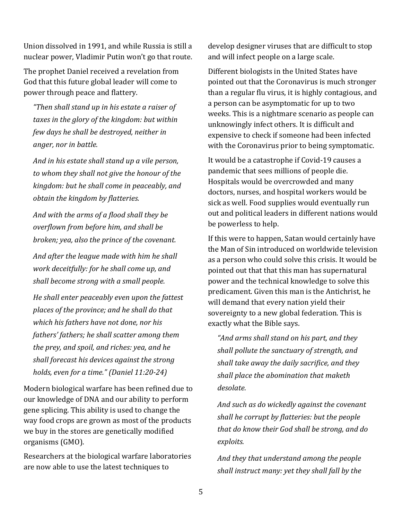Union dissolved in 1991, and while Russia is still a nuclear power, Vladimir Putin won't go that route.

The prophet Daniel received a revelation from God that this future global leader will come to power through peace and flattery.

*"Then shall stand up in his estate a raiser of taxes in the glory of the kingdom: but within few days he shall be destroyed, neither in anger, nor in battle.*

*And in his estate shall stand up a vile person, to whom they shall not give the honour of the kingdom: but he shall come in peaceably, and obtain the kingdom by flatteries.*

*And with the arms of a flood shall they be overflown from before him, and shall be broken; yea, also the prince of the covenant.*

*And after the league made with him he shall work deceitfully: for he shall come up, and shall become strong with a small people.*

*He shall enter peaceably even upon the fattest places of the province; and he shall do that which his fathers have not done, nor his fathers' fathers; he shall scatter among them the prey, and spoil, and riches: yea, and he shall forecast his devices against the strong holds, even for a time." (Daniel 11:20-24)*

Modern biological warfare has been refined due to our knowledge of DNA and our ability to perform gene splicing. This ability is used to change the way food crops are grown as most of the products we buy in the stores are genetically modified organisms (GMO).

Researchers at the biological warfare laboratories are now able to use the latest techniques to

develop designer viruses that are difficult to stop and will infect people on a large scale.

Different biologists in the United States have pointed out that the Coronavirus is much stronger than a regular flu virus, it is highly contagious, and a person can be asymptomatic for up to two weeks. This is a nightmare scenario as people can unknowingly infect others. It is difficult and expensive to check if someone had been infected with the Coronavirus prior to being symptomatic.

It would be a catastrophe if Covid-19 causes a pandemic that sees millions of people die. Hospitals would be overcrowded and many doctors, nurses, and hospital workers would be sick as well. Food supplies would eventually run out and political leaders in different nations would be powerless to help.

If this were to happen, Satan would certainly have the Man of Sin introduced on worldwide television as a person who could solve this crisis. It would be pointed out that that this man has supernatural power and the technical knowledge to solve this predicament. Given this man is the Antichrist, he will demand that every nation yield their sovereignty to a new global federation. This is exactly what the Bible says.

*"And arms shall stand on his part, and they shall pollute the sanctuary of strength, and shall take away the daily sacrifice, and they shall place the abomination that maketh desolate.*

*And such as do wickedly against the covenant shall he corrupt by flatteries: but the people that do know their God shall be strong, and do exploits.*

*And they that understand among the people shall instruct many: yet they shall fall by the*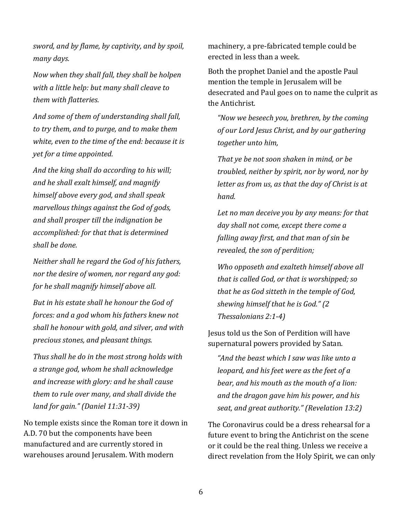*sword, and by flame, by captivity, and by spoil, many days.* 

*Now when they shall fall, they shall be holpen with a little help: but many shall cleave to them with flatteries.*

*And some of them of understanding shall fall, to try them, and to purge, and to make them white, even to the time of the end: because it is yet for a time appointed.*

*And the king shall do according to his will; and he shall exalt himself, and magnify himself above every god, and shall speak marvellous things against the God of gods, and shall prosper till the indignation be accomplished: for that that is determined shall be done.*

*Neither shall he regard the God of his fathers, nor the desire of women, nor regard any god: for he shall magnify himself above all.*

*But in his estate shall he honour the God of forces: and a god whom his fathers knew not shall he honour with gold, and silver, and with precious stones, and pleasant things.* 

*Thus shall he do in the most strong holds with a strange god, whom he shall acknowledge and increase with glory: and he shall cause them to rule over many, and shall divide the land for gain." (Daniel 11:31-39)*

No temple exists since the Roman tore it down in A.D. 70 but the components have been manufactured and are currently stored in warehouses around Jerusalem. With modern

machinery, a pre-fabricated temple could be erected in less than a week.

Both the prophet Daniel and the apostle Paul mention the temple in Jerusalem will be desecrated and Paul goes on to name the culprit as the Antichrist.

*"Now we beseech you, brethren, by the coming of our Lord Jesus Christ, and by our gathering together unto him,* 

*That ye be not soon shaken in mind, or be troubled, neither by spirit, nor by word, nor by letter as from us, as that the day of Christ is at hand.*

*Let no man deceive you by any means: for that day shall not come, except there come a falling away first, and that man of sin be revealed, the son of perdition;*

*Who opposeth and exalteth himself above all that is called God, or that is worshipped; so that he as God sitteth in the temple of God, shewing himself that he is God." (2 Thessalonians 2:1-4)*

Jesus told us the Son of Perdition will have supernatural powers provided by Satan.

*"And the beast which I saw was like unto a leopard, and his feet were as the feet of a bear, and his mouth as the mouth of a lion: and the dragon gave him his power, and his seat, and great authority." (Revelation 13:2)*

The Coronavirus could be a dress rehearsal for a future event to bring the Antichrist on the scene or it could be the real thing. Unless we receive a direct revelation from the Holy Spirit, we can only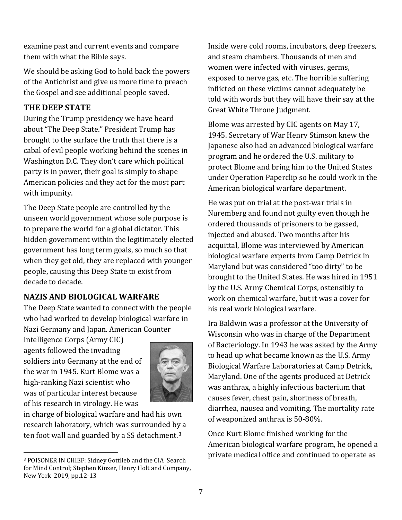examine past and current events and compare them with what the Bible says.

We should be asking God to hold back the powers of the Antichrist and give us more time to preach the Gospel and see additional people saved.

## **THE DEEP STATE**

During the Trump presidency we have heard about "The Deep State." President Trump has brought to the surface the truth that there is a cabal of evil people working behind the scenes in Washington D.C. They don't care which political party is in power, their goal is simply to shape American policies and they act for the most part with impunity.

The Deep State people are controlled by the unseen world government whose sole purpose is to prepare the world for a global dictator. This hidden government within the legitimately elected government has long term goals, so much so that when they get old, they are replaced with younger people, causing this Deep State to exist from decade to decade.

# **NAZIS AND BIOLOGICAL WARFARE**

The Deep State wanted to connect with the people who had worked to develop biological warfare in Nazi Germany and Japan. American Counter

Intelligence Corps (Army CIC) agents followed the invading soldiers into Germany at the end of the war in 1945. Kurt Blome was a high-ranking Nazi scientist who was of particular interest because of his research in virology. He was



in charge of biological warfare and had his own research laboratory, which was surrounded by a ten foot wall and guarded by a SS detachment.[3](#page-6-0)

Inside were cold rooms, incubators, deep freezers, and steam chambers. Thousands of men and women were infected with viruses, germs, exposed to nerve gas, etc. The horrible suffering inflicted on these victims cannot adequately be told with words but they will have their say at the Great White Throne Judgment.

Blome was arrested by CIC agents on May 17, 1945. Secretary of War Henry Stimson knew the Japanese also had an advanced biological warfare program and he ordered the U.S. military to protect Blome and bring him to the United States under Operation Paperclip so he could work in the American biological warfare department.

He was put on trial at the post-war trials in Nuremberg and found not guilty even though he ordered thousands of prisoners to be gassed, injected and abused. Two months after his acquittal, Blome was interviewed by American biological warfare experts from Camp Detrick in Maryland but was considered "too dirty" to be brought to the United States. He was hired in 1951 by the U.S. Army Chemical Corps, ostensibly to work on chemical warfare, but it was a cover for his real work biological warfare.

Ira Baldwin was a professor at the University of Wisconsin who was in charge of the Department of Bacteriology. In 1943 he was asked by the Army to head up what became known as the U.S. Army Biological Warfare Laboratories at Camp Detrick, Maryland. One of the agents produced at Detrick was anthrax, a highly infectious bacterium that causes fever, chest pain, shortness of breath, diarrhea, nausea and vomiting. The mortality rate of weaponized anthrax is 50-80%.

Once Kurt Blome finished working for the American biological warfare program, he opened a private medical office and continued to operate as

<span id="page-6-0"></span><sup>3</sup> POISONER IN CHIEF: Sidney Gottlieb and the CIA Search for Mind Control; Stephen Kinzer, Henry Holt and Company, New York 2019, pp.12-13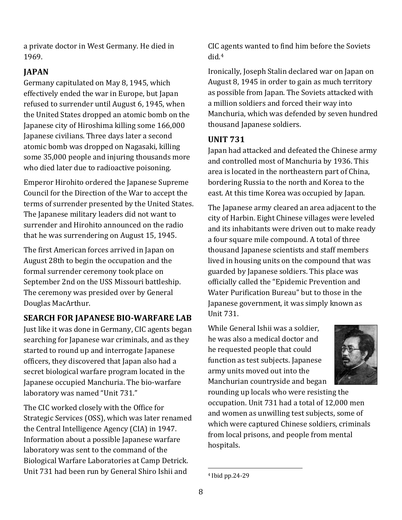a private doctor in West Germany. He died in 1969.

# **JAPAN**

Germany capitulated on May 8, 1945, which effectively ended the war in Europe, but Japan refused to surrender until August 6, 1945, when the United States dropped an atomic bomb on the Japanese city of Hiroshima killing some 166,000 Japanese civilians. Three days later a second atomic bomb was dropped on Nagasaki, killing some 35,000 people and injuring thousands more who died later due to radioactive poisoning.

Emperor Hirohito ordered the Japanese Supreme Council for the Direction of the War to accept the terms of surrender presented by the United States. The Japanese military leaders did not want to surrender and Hirohito announced on the radio that he was surrendering on August 15, 1945.

The first American forces arrived in Japan on August 28th to begin the occupation and the formal surrender ceremony took place on September 2nd on the USS Missouri battleship. The ceremony was presided over by General Douglas MacArthur.

# **SEARCH FOR JAPANESE BIO-WARFARE LAB**

Just like it was done in Germany, CIC agents began searching for Japanese war criminals, and as they started to round up and interrogate Japanese officers, they discovered that Japan also had a secret biological warfare program located in the Japanese occupied Manchuria. The bio-warfare laboratory was named "Unit 731."

<span id="page-7-0"></span>The CIC worked closely with the Office for Strategic Services (OSS), which was later renamed the Central Intelligence Agency (CIA) in 1947. Information about a possible Japanese warfare laboratory was sent to the command of the Biological Warfare Laboratories at Camp Detrick. Unit 731 had been run by General Shiro Ishii and

CIC agents wanted to find him before the Soviets did.[4](#page-7-0) 

Ironically, Joseph Stalin declared war on Japan on August 8, 1945 in order to gain as much territory as possible from Japan. The Soviets attacked with a million soldiers and forced their way into Manchuria, which was defended by seven hundred thousand Japanese soldiers.

# **UNIT 731**

Japan had attacked and defeated the Chinese army and controlled most of Manchuria by 1936. This area is located in the northeastern part of China, bordering Russia to the north and Korea to the east. At this time Korea was occupied by Japan.

The Japanese army cleared an area adjacent to the city of Harbin. Eight Chinese villages were leveled and its inhabitants were driven out to make ready a four square mile compound. A total of three thousand Japanese scientists and staff members lived in housing units on the compound that was guarded by Japanese soldiers. This place was officially called the "Epidemic Prevention and Water Purification Bureau" but to those in the Japanese government, it was simply known as Unit 731.

While General Ishii was a soldier, he was also a medical doctor and he requested people that could function as test subjects. Japanese army units moved out into the Manchurian countryside and began



rounding up locals who were resisting the occupation. Unit 731 had a total of 12,000 men and women as unwilling test subjects, some of which were captured Chinese soldiers, criminals from local prisons, and people from mental hospitals.

<sup>4</sup> Ibid pp.24-29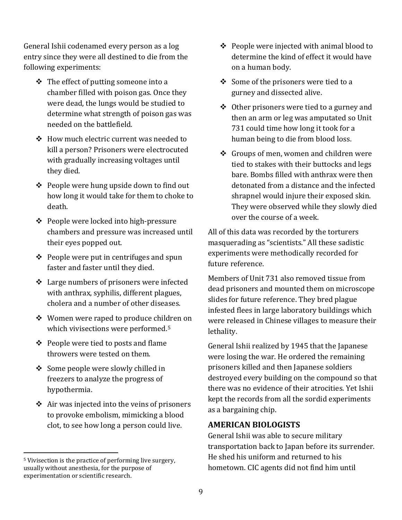General Ishii codenamed every person as a log entry since they were all destined to die from the following experiments:

- $\cdot \cdot$  The effect of putting someone into a chamber filled with poison gas. Once they were dead, the lungs would be studied to determine what strength of poison gas was needed on the battlefield.
- How much electric current was needed to kill a person? Prisoners were electrocuted with gradually increasing voltages until they died.
- ❖ People were hung upside down to find out how long it would take for them to choke to death.
- ❖ People were locked into high-pressure chambers and pressure was increased until their eyes popped out.
- $\div$  People were put in centrifuges and spun faster and faster until they died.
- Large numbers of prisoners were infected with anthrax, syphilis, different plagues, cholera and a number of other diseases.
- Women were raped to produce children on which vivisections were performed.<sup>[5](#page-8-0)</sup>
- $\div$  People were tied to posts and flame throwers were tested on them.
- ❖ Some people were slowly chilled in freezers to analyze the progress of hypothermia.
- $\triangleleft$  Air was injected into the veins of prisoners to provoke embolism, mimicking a blood clot, to see how long a person could live.
- $\triangle$  People were injected with animal blood to determine the kind of effect it would have on a human body.
- $\triangleleft$  Some of the prisoners were tied to a gurney and dissected alive.
- Other prisoners were tied to a gurney and then an arm or leg was amputated so Unit 731 could time how long it took for a human being to die from blood loss.
- $\div$  Groups of men, women and children were tied to stakes with their buttocks and legs bare. Bombs filled with anthrax were then detonated from a distance and the infected shrapnel would injure their exposed skin. They were observed while they slowly died over the course of a week.

All of this data was recorded by the torturers masquerading as "scientists." All these sadistic experiments were methodically recorded for future reference.

Members of Unit 731 also removed tissue from dead prisoners and mounted them on microscope slides for future reference. They bred plague infested flees in large laboratory buildings which were released in Chinese villages to measure their lethality.

General Ishii realized by 1945 that the Japanese were losing the war. He ordered the remaining prisoners killed and then Japanese soldiers destroyed every building on the compound so that there was no evidence of their atrocities. Yet Ishii kept the records from all the sordid experiments as a bargaining chip.

#### **AMERICAN BIOLOGISTS**

General Ishii was able to secure military transportation back to Japan before its surrender. He shed his uniform and returned to his hometown. CIC agents did not find him until

<span id="page-8-0"></span><sup>5</sup> Vivisection is the practice of performing live surgery, usually without anesthesia, for the purpose of experimentation or scientific research.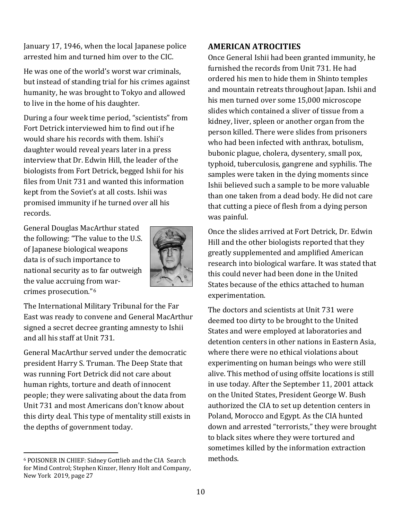January 17, 1946, when the local Japanese police arrested him and turned him over to the CIC.

He was one of the world's worst war criminals, but instead of standing trial for his crimes against humanity, he was brought to Tokyo and allowed to live in the home of his daughter.

During a four week time period, "scientists" from Fort Detrick interviewed him to find out if he would share his records with them. Ishii's daughter would reveal years later in a press interview that Dr. Edwin Hill, the leader of the biologists from Fort Detrick, begged Ishii for his files from Unit 731 and wanted this information kept from the Soviet's at all costs. Ishii was promised immunity if he turned over all his records.

General Douglas MacArthur stated the following: "The value to the U.S. of Japanese biological weapons data is of such importance to national security as to far outweigh the value accruing from warcrimes prosecution."[6](#page-9-0)



The International Military Tribunal for the Far East was ready to convene and General MacArthur signed a secret decree granting amnesty to Ishii and all his staff at Unit 731.

General MacArthur served under the democratic president Harry S. Truman. The Deep State that was running Fort Detrick did not care about human rights, torture and death of innocent people; they were salivating about the data from Unit 731 and most Americans don't know about this dirty deal. This type of mentality still exists in the depths of government today.

# **AMERICAN ATROCITIES**

Once General Ishii had been granted immunity, he furnished the records from Unit 731. He had ordered his men to hide them in Shinto temples and mountain retreats throughout Japan. Ishii and his men turned over some 15,000 microscope slides which contained a sliver of tissue from a kidney, liver, spleen or another organ from the person killed. There were slides from prisoners who had been infected with anthrax, botulism, bubonic plague, cholera, dysentery, small pox, typhoid, tuberculosis, gangrene and syphilis. The samples were taken in the dying moments since Ishii believed such a sample to be more valuable than one taken from a dead body. He did not care that cutting a piece of flesh from a dying person was painful.

Once the slides arrived at Fort Detrick, Dr. Edwin Hill and the other biologists reported that they greatly supplemented and amplified American research into biological warfare. It was stated that this could never had been done in the United States because of the ethics attached to human experimentation.

The doctors and scientists at Unit 731 were deemed too dirty to be brought to the United States and were employed at laboratories and detention centers in other nations in Eastern Asia, where there were no ethical violations about experimenting on human beings who were still alive. This method of using offsite locations is still in use today. After the September 11, 2001 attack on the United States, President George W. Bush authorized the CIA to set up detention centers in Poland, Morocco and Egypt. As the CIA hunted down and arrested "terrorists," they were brought to black sites where they were tortured and sometimes killed by the information extraction methods.

<span id="page-9-0"></span><sup>6</sup> POISONER IN CHIEF: Sidney Gottlieb and the CIA Search for Mind Control; Stephen Kinzer, Henry Holt and Company, New York 2019, page 27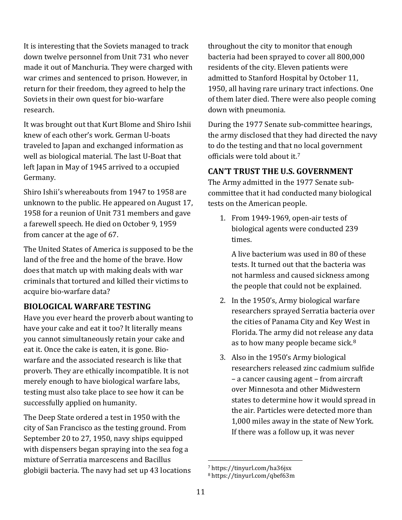It is interesting that the Soviets managed to track down twelve personnel from Unit 731 who never made it out of Manchuria. They were charged with war crimes and sentenced to prison. However, in return for their freedom, they agreed to help the Soviets in their own quest for bio-warfare research.

It was brought out that Kurt Blome and Shiro Ishii knew of each other's work. German U-boats traveled to Japan and exchanged information as well as biological material. The last U-Boat that left Japan in May of 1945 arrived to a occupied Germany.

Shiro Ishii's whereabouts from 1947 to 1958 are unknown to the public. He appeared on August 17, 1958 for a reunion of Unit 731 members and gave a farewell speech. He died on October 9, 1959 from cancer at the age of 67.

The United States of America is supposed to be the land of the free and the home of the brave. How does that match up with making deals with war criminals that tortured and killed their victims to acquire bio-warfare data?

## **BIOLOGICAL WARFARE TESTING**

Have you ever heard the proverb about wanting to have your cake and eat it too? It literally means you cannot simultaneously retain your cake and eat it. Once the cake is eaten, it is gone. Biowarfare and the associated research is like that proverb. They are ethically incompatible. It is not merely enough to have biological warfare labs, testing must also take place to see how it can be successfully applied on humanity.

<span id="page-10-1"></span><span id="page-10-0"></span>The Deep State ordered a test in 1950 with the city of San Francisco as the testing ground. From September 20 to 27, 1950, navy ships equipped with dispensers began spraying into the sea fog a mixture of Serratia marcescens and Bacillus globigii bacteria. The navy had set up 43 locations

throughout the city to monitor that enough bacteria had been sprayed to cover all 800,000 residents of the city. Eleven patients were admitted to Stanford Hospital by October 11, 1950, all having rare urinary tract infections. One of them later died. There were also people coming down with pneumonia.

During the 1977 Senate sub-committee hearings, the army disclosed that they had directed the navy to do the testing and that no local government officials were told about it.[7](#page-10-0)

#### **CAN'T TRUST THE U.S. GOVERNMENT**

The Army admitted in the 1977 Senate subcommittee that it had conducted many biological tests on the American people.

1. From 1949-1969, open-air tests of biological agents were conducted 239 times.

A live bacterium was used in 80 of these tests. It turned out that the bacteria was not harmless and caused sickness among the people that could not be explained.

- 2. In the 1950's, Army biological warfare researchers sprayed Serratia bacteria over the cities of Panama City and Key West in Florida. The army did not release any data as to how many people became sick.<sup>[8](#page-10-1)</sup>
- 3. Also in the 1950's Army biological researchers released zinc cadmium sulfide – a cancer causing agent – from aircraft over Minnesota and other Midwestern states to determine how it would spread in the air. Particles were detected more than 1,000 miles away in the state of New York. If there was a follow up, it was never

<sup>7</sup> https://tinyurl.com/ha36jsx

<sup>8</sup> https://tinyurl.com/qbef63m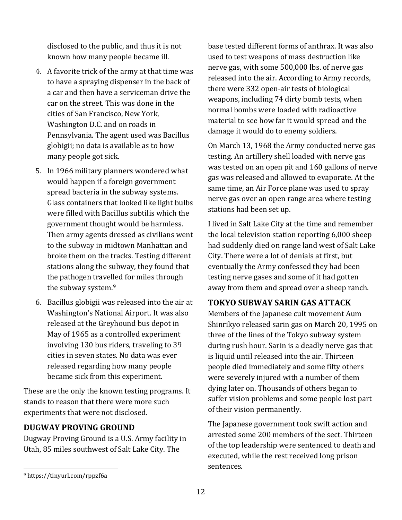disclosed to the public, and thus it is not known how many people became ill.

- 4. A favorite trick of the army at that time was to have a spraying dispenser in the back of a car and then have a serviceman drive the car on the street. This was done in the cities of San Francisco, New York, Washington D.C. and on roads in Pennsylvania. The agent used was Bacillus globigii; no data is available as to how many people got sick.
- 5. In 1966 military planners wondered what would happen if a foreign government spread bacteria in the subway systems. Glass containers that looked like light bulbs were filled with Bacillus subtilis which the government thought would be harmless. Then army agents dressed as civilians went to the subway in midtown Manhattan and broke them on the tracks. Testing different stations along the subway, they found that the pathogen travelled for miles through the subway system.[9](#page-11-0)
- 6. Bacillus globigii was released into the air at Washington's National Airport. It was also released at the Greyhound bus depot in May of 1965 as a controlled experiment involving 130 bus riders, traveling to 39 cities in seven states. No data was ever released regarding how many people became sick from this experiment.

These are the only the known testing programs. It stands to reason that there were more such experiments that were not disclosed.

#### **DUGWAY PROVING GROUND**

Dugway Proving Ground is a U.S. Army facility in Utah, 85 miles southwest of Salt Lake City. The

base tested different forms of anthrax. It was also used to test weapons of mass destruction like nerve gas, with some 500,000 lbs. of nerve gas released into the air. According to Army records, there were 332 open-air tests of biological weapons, including 74 dirty bomb tests, when normal bombs were loaded with radioactive material to see how far it would spread and the damage it would do to enemy soldiers.

On March 13, 1968 the Army conducted nerve gas testing. An artillery shell loaded with nerve gas was tested on an open pit and 160 gallons of nerve gas was released and allowed to evaporate. At the same time, an Air Force plane was used to spray nerve gas over an open range area where testing stations had been set up.

I lived in Salt Lake City at the time and remember the local television station reporting 6,000 sheep had suddenly died on range land west of Salt Lake City. There were a lot of denials at first, but eventually the Army confessed they had been testing nerve gases and some of it had gotten away from them and spread over a sheep ranch.

## **TOKYO SUBWAY SARIN GAS ATTACK**

Members of the Japanese cult movement Aum Shinrikyo released sarin gas on March 20, 1995 on three of the lines of the Tokyo subway system during rush hour. Sarin is a deadly nerve gas that is liquid until released into the air. Thirteen people died immediately and some fifty others were severely injured with a number of them dying later on. Thousands of others began to suffer vision problems and some people lost part of their vision permanently.

The Japanese government took swift action and arrested some 200 members of the sect. Thirteen of the top leadership were sentenced to death and executed, while the rest received long prison sentences.

<span id="page-11-0"></span><sup>9</sup> https://tinyurl.com/rppzf6a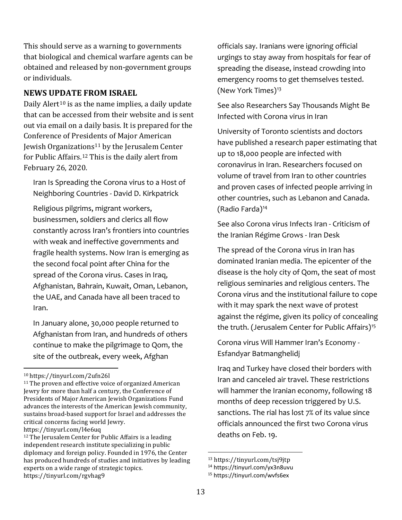This should serve as a warning to governments that biological and chemical warfare agents can be obtained and released by non-government groups or individuals.

#### **NEWS UPDATE FROM ISRAEL**

Daily Alert<sup>[10](#page-12-0)</sup> is as the name implies, a daily update that can be accessed from their website and is sent out via email on a daily basis. It is prepared for the Conference of Presidents of Major American Jewish Organizations<sup>[11](#page-12-1)</sup> by the Jerusalem Center for Public Affairs.[12](#page-12-2) This is the daily alert from February 26, 2020.

Iran Is Spreading the Corona virus to a Host of Neighboring Countries - David D. Kirkpatrick

Religious pilgrims, migrant workers, businessmen, soldiers and clerics all flow constantly across Iran's frontiers into countries with weak and ineffective governments and fragile health systems. Now Iran is emerging as the second focal point after China for the spread of the Corona virus. Cases in Iraq, Afghanistan, Bahrain, Kuwait, Oman, Lebanon, the UAE, and Canada have all been traced to Iran.

In January alone, 30,000 people returned to Afghanistan from Iran, and hundreds of others continue to make the pilgrimage to Qom, the site of the outbreak, every week, Afghan

officials say. Iranians were ignoring official urgings to stay away from hospitals for fear of spreading the disease, instead crowding into emergency rooms to get themselves tested. (New York Times)[13](#page-12-3)

See also Researchers Say Thousands Might Be Infected with Corona virus in Iran

University of Toronto scientists and doctors have published a research paper estimating that up to 18,000 people are infected with coronavirus in Iran. Researchers focused on volume of travel from Iran to other countries and proven cases of infected people arriving in other countries, such as Lebanon and Canada. (Radio Farda)[14](#page-12-4)

See also Corona virus Infects Iran - Criticism of the Iranian Régime Grows - Iran Desk

The spread of the Corona virus in Iran has dominated Iranian media. The epicenter of the disease is the holy city of Qom, the seat of most religious seminaries and religious centers. The Corona virus and the institutional failure to cope with it may spark the next wave of protest against the régime, given its policy of concealing the truth. (Jerusalem Center for Public Affairs)<sup>[15](#page-12-5)</sup>

Corona virus Will Hammer Iran's Economy - Esfandyar Batmanghelidj

Iraq and Turkey have closed their borders with Iran and canceled air travel. These restrictions will hammer the Iranian economy, following 18 months of deep recession triggered by U.S. sanctions. The rial has lost 7% of its value since officials announced the first two Corona virus deaths on Feb. 19.

<span id="page-12-0"></span><sup>10</sup> https://tinyurl.com/2ufn26l

<span id="page-12-1"></span><sup>&</sup>lt;sup>11</sup> The proven and effective voice of organized American Jewry for more than half a century, the Conference of Presidents of Major American Jewish Organizations Fund advances the interests of the American Jewish community, sustains broad-based support for Israel and addresses the critical concerns facing world Jewry. https://tinyurl.com/l4e6uq

<span id="page-12-5"></span><span id="page-12-4"></span><span id="page-12-3"></span><span id="page-12-2"></span><sup>&</sup>lt;sup>12</sup> The Jerusalem Center for Public Affairs is a leading independent research institute specializing in public diplomacy and foreign policy. Founded in 1976, the Center has produced hundreds of studies and initiatives by leading experts on a wide range of strategic topics. https://tinyurl.com/rgvhag9

<sup>&</sup>lt;sup>13</sup> https://tinyurl.com/tsj9jtp<br><sup>14</sup> https://tinyurl.com/yx3n8uvu

<sup>15</sup> https://tinyurl.com/wvfs6ex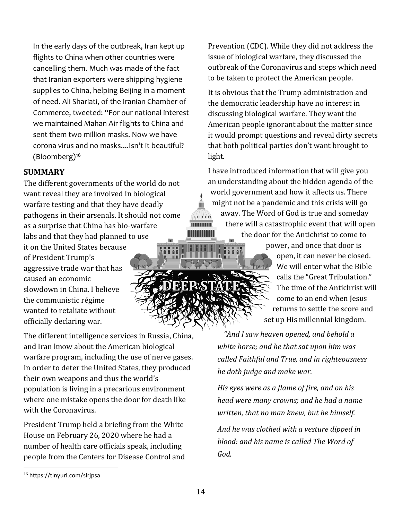In the early days of the outbreak, Iran kept up flights to China when other countries were cancelling them. Much was made of the fact that Iranian exporters were shipping hygiene supplies to China, helping Beijing in a moment of need. Ali Shariati, of the Iranian Chamber of Commerce, tweeted: "For our national interest we maintained Mahan Air flights to China and sent them two million masks. Now we have corona virus and no masks....Isn't it beautiful? (Bloomberg)[16](#page-13-0)

#### **SUMMARY**

The different governments of the world do not want reveal they are involved in biological warfare testing and that they have deadly pathogens in their arsenals. It should not come as a surprise that China has bio-warfare labs and that they had planned to use it on the United States because of President Trump's aggressive trade war that has caused an economic slowdown in China. I believe the communistic régime wanted to retaliate without officially declaring war.

The different intelligence services in Russia, China, and Iran know about the American biological warfare program, including the use of nerve gases. In order to deter the United States, they produced their own weapons and thus the world's population is living in a precarious environment where one mistake opens the door for death like with the Coronavirus.

President Trump held a briefing from the White House on February 26, 2020 where he had a number of health care officials speak, including people from the Centers for Disease Control and

Prevention (CDC). While they did not address the issue of biological warfare, they discussed the outbreak of the Coronavirus and steps which need to be taken to protect the American people.

It is obvious that the Trump administration and the democratic leadership have no interest in discussing biological warfare. They want the American people ignorant about the matter since it would prompt questions and reveal dirty secrets that both political parties don't want brought to light.

I have introduced information that will give you an understanding about the hidden agenda of the world government and how it affects us. There might not be a pandemic and this crisis will go away. The Word of God is true and someday  $\sqrt{\frac{1}{2}\left(1+\frac{1}{2}\right)}\sqrt{\frac{1}{2}\left(1+\frac{1}{2}\right)}\sqrt{\frac{1}{2}\left(1+\frac{1}{2}\right)}\sqrt{\frac{1}{2}\left(1+\frac{1}{2}\right)}\sqrt{\frac{1}{2}\left(1+\frac{1}{2}\right)}\sqrt{\frac{1}{2}\left(1+\frac{1}{2}\right)}\sqrt{\frac{1}{2}\left(1+\frac{1}{2}\right)}\sqrt{\frac{1}{2}\left(1+\frac{1}{2}\right)}\sqrt{\frac{1}{2}\left(1+\frac{1}{2}\right)}\sqrt{\frac{1}{2}\left(1+\frac{1}{2}\right)}\sqrt{\frac{1}{2}\left$ mmmm there will a catastrophic event that will open

the door for the Antichrist to come to

power, and once that door is open, it can never be closed. We will enter what the Bible calls the "Great Tribulation." The time of the Antichrist will come to an end when Jesus returns to settle the score and set up His millennial kingdom.

*"And I saw heaven opened, and behold a white horse; and he that sat upon him was called Faithful and True, and in righteousness he doth judge and make war.*

*His eyes were as a flame of fire, and on his head were many crowns; and he had a name written, that no man knew, but he himself.* 

*And he was clothed with a vesture dipped in blood: and his name is called The Word of God.* 

<span id="page-13-0"></span><sup>16</sup> https://tinyurl.com/slrjpsa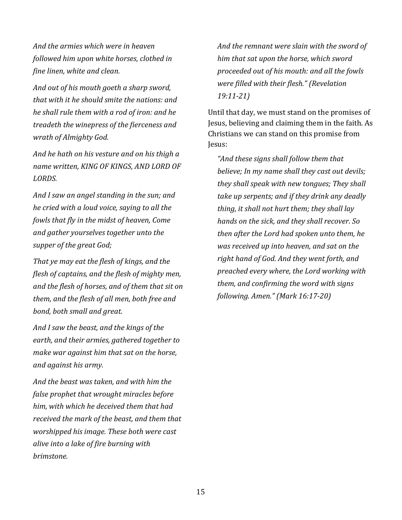*And the armies which were in heaven followed him upon white horses, clothed in fine linen, white and clean.*

*And out of his mouth goeth a sharp sword, that with it he should smite the nations: and he shall rule them with a rod of iron: and he treadeth the winepress of the fierceness and wrath of Almighty God.* 

*And he hath on his vesture and on his thigh a name written, KING OF KINGS, AND LORD OF LORDS.*

*And I saw an angel standing in the sun; and he cried with a loud voice, saying to all the fowls that fly in the midst of heaven, Come and gather yourselves together unto the supper of the great God;*

*That ye may eat the flesh of kings, and the flesh of captains, and the flesh of mighty men, and the flesh of horses, and of them that sit on them, and the flesh of all men, both free and bond, both small and great.*

*And I saw the beast, and the kings of the earth, and their armies, gathered together to make war against him that sat on the horse, and against his army.*

*And the beast was taken, and with him the false prophet that wrought miracles before him, with which he deceived them that had received the mark of the beast, and them that worshipped his image. These both were cast alive into a lake of fire burning with brimstone.*

*And the remnant were slain with the sword of him that sat upon the horse, which sword proceeded out of his mouth: and all the fowls were filled with their flesh." (Revelation 19:11-21)*

Until that day, we must stand on the promises of Jesus, believing and claiming them in the faith. As Christians we can stand on this promise from Jesus:

*"And these signs shall follow them that believe; In my name shall they cast out devils; they shall speak with new tongues; They shall take up serpents; and if they drink any deadly thing, it shall not hurt them; they shall lay hands on the sick, and they shall recover. So then after the Lord had spoken unto them, he was received up into heaven, and sat on the right hand of God. And they went forth, and preached every where, the Lord working with them, and confirming the word with signs following. Amen." (Mark 16:17-20)*